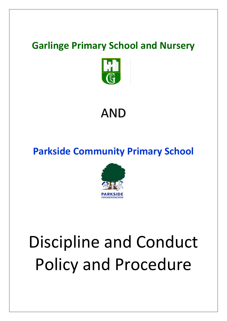## **Garlinge Primary School and Nursery**



## AND

## **Parkside Community Primary School**



# Discipline and Conduct Policy and Procedure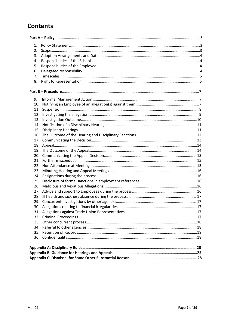### **Contents**

| 1.  |  |
|-----|--|
| 2.  |  |
| 3.  |  |
| 4.  |  |
| 5.  |  |
| 6.  |  |
| 7.  |  |
| 8.  |  |
|     |  |
| 9.  |  |
|     |  |
|     |  |
|     |  |
| 13. |  |
| 14. |  |
|     |  |
|     |  |
| 17. |  |
| 18. |  |
|     |  |
| 20. |  |
|     |  |
| 22. |  |
| 23. |  |
|     |  |
| 25. |  |
| 26. |  |
| 27. |  |
|     |  |
|     |  |
|     |  |
|     |  |
|     |  |
|     |  |
|     |  |
|     |  |
|     |  |
|     |  |
|     |  |
|     |  |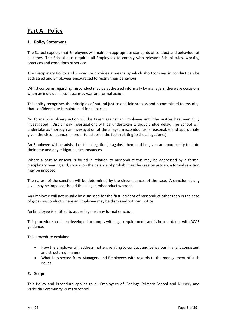#### <span id="page-2-0"></span>**Part A - Policy**

#### <span id="page-2-1"></span>**1. Policy Statement**

The School expects that Employees will maintain appropriate standards of conduct and behaviour at all times. The School also requires all Employees to comply with relevant School rules, working practices and conditions of service.

The Disciplinary Policy and Procedure provides a means by which shortcomings in conduct can be addressed and Employees encouraged to rectify their behaviour.

Whilst concerns regarding misconduct may be addressed informally by managers, there are occasions when an individual's conduct may warrant formal action.

This policy recognises the principles of natural justice and fair process and is committed to ensuring that confidentiality is maintained for all parties.

No formal disciplinary action will be taken against an Employee until the matter has been fully investigated. Disciplinary investigations will be undertaken without undue delay. The School will undertake as thorough an investigation of the alleged misconduct as is reasonable and appropriate given the circumstances in order to establish the facts relating to the allegation(s).

An Employee will be advised of the allegation(s) against them and be given an opportunity to state their case and any mitigating circumstances.

Where a case to answer is found in relation to misconduct this may be addressed by a formal disciplinary hearing and, should on the balance of probabilities the case be proven, a formal sanction may be imposed.

The nature of the sanction will be determined by the circumstances of the case. A sanction at any level may be imposed should the alleged misconduct warrant.

An Employee will not usually be dismissed for the first incident of misconduct other than in the case of gross misconduct where an Employee may be dismissed without notice.

An Employee is entitled to appeal against any formal sanction.

This procedure has been developed to comply with legal requirements and is in accordance with ACAS guidance.

This procedure explains:

- How the Employer will address matters relating to conduct and behaviour in a fair, consistent and structured manner
- What is expected from Managers and Employees with regards to the management of such issues.

#### <span id="page-2-2"></span>**2. Scope**

This Policy and Procedure applies to all Employees of Garlinge Primary School and Nursery and Parkside Community Primary School.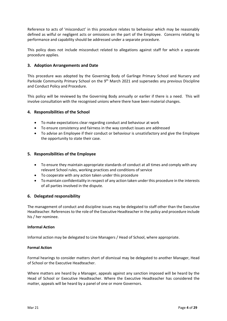Reference to acts of 'misconduct' in this procedure relates to behaviour which may be reasonably defined as wilful or negligent acts or omissions on the part of the Employee. Concerns relating to performance and capability should be addressed under a separate procedure.

This policy does not include misconduct related to allegations against staff for which a separate procedure applies.

#### <span id="page-3-0"></span>**3. Adoption Arrangements and Date**

This procedure was adopted by the Governing Body of Garlinge Primary School and Nursery and Parkside Community Primary School on the 9<sup>th</sup> March 2021 and supersedes any previous Discipline and Conduct Policy and Procedure.

This policy will be reviewed by the Governing Body annually or earlier if there is a need. This will involve consultation with the recognised unions where there have been material changes.

#### <span id="page-3-1"></span>**4. Responsibilities of the School**

- To make expectations clear regarding conduct and behaviour at work
- To ensure consistency and fairness in the way conduct issues are addressed
- To advise an Employee if their conduct or behaviour is unsatisfactory and give the Employee the opportunity to state their case.

#### <span id="page-3-2"></span>**5. Responsibilities of the Employee**

- To ensure they maintain appropriate standards of conduct at all times and comply with any relevant School rules, working practices and conditions of service
- To cooperate with any action taken under this procedure
- To maintain confidentiality in respect of any action taken under this procedure in the interests of all parties involved in the dispute.

#### <span id="page-3-3"></span>**6. Delegated responsibility**

The management of conduct and discipline issues may be delegated to staff other than the Executive Headteacher. References to the role of the Executive Headteacher in the policy and procedure include his / her nominee.

#### **Informal Action**

Informal action may be delegated to Line Managers / Head of School, where appropriate.

#### **Formal Action**

Formal hearings to consider matters short of dismissal may be delegated to another Manager, Head of School or the Executive Headteacher.

Where matters are heard by a Manager, appeals against any sanction imposed will be heard by the Head of School or Executive Headteacher. Where the Executive Headteacher has considered the matter, appeals will be heard by a panel of one or more Governors.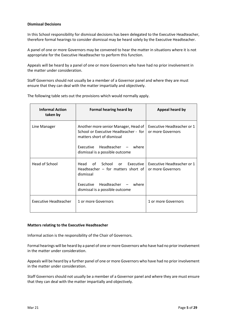#### **Dismissal Decisions**

In this School responsibility for dismissal decisions has been delegated to the Executive Headteacher, therefore formal hearings to consider dismissal may be heard solely by the Executive Headteacher.

A panel of one or more Governors may be convened to hear the matter in situations where it is not appropriate for the Executive Headteacher to perform this function.

Appeals will be heard by a panel of one or more Governors who have had no prior involvement in the matter under consideration.

Staff Governors should not usually be a member of a Governor panel and where they are must ensure that they can deal with the matter impartially and objectively.

| <b>Informal Action</b><br>taken by | Formal hearing heard by                                                                                                                                                         | Appeal heard by                                 |
|------------------------------------|---------------------------------------------------------------------------------------------------------------------------------------------------------------------------------|-------------------------------------------------|
| Line Manager                       | Another more senior Manager, Head of<br>School or Executive Headteacher - for<br>matters short of dismissal<br>Executive Headteacher - where<br>dismissal is a possible outcome | Executive Headteacher or 1<br>or more Governors |
| Head of School                     | of School<br>Head<br><b>or</b><br>Executive I<br>Headteacher $-$ for matters short of<br>dismissal<br>Executive Headteacher - where<br>dismissal is a possible outcome          | Executive Headteacher or 1<br>or more Governors |
| Executive Headteacher              | 1 or more Governors                                                                                                                                                             | 1 or more Governors                             |

The following table sets out the provisions which would normally apply.

#### **Matters relating to the Executive Headteacher**

Informal action is the responsibility of the Chair of Governors.

Formal hearings will be heard by a panel of one or more Governors who have had no prior involvement in the matter under consideration.

Appeals will be heard by a further panel of one or more Governors who have had no prior involvement in the matter under consideration.

Staff Governors should not usually be a member of a Governor panel and where they are must ensure that they can deal with the matter impartially and objectively.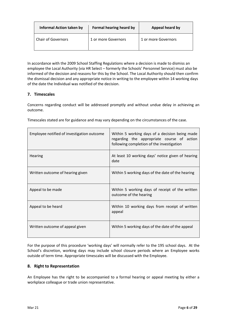| <b>Informal Action taken by</b> | Formal hearing heard by | Appeal heard by     |
|---------------------------------|-------------------------|---------------------|
| l Chair of Governors            | 1 or more Governors     | 1 or more Governors |

In accordance with the 2009 School Staffing Regulations where a decision is made to dismiss an employee the Local Authority (via HR Select – formerly the Schools' Personnel Service) must also be informed of the decision and reasons for this by the School. The Local Authority should then confirm the dismissal decision and any appropriate notice in writing to the employee within 14 working days of the date the Individual was notified of the decision.

#### <span id="page-5-0"></span>**7. Timescales**

Concerns regarding conduct will be addressed promptly and without undue delay in achieving an outcome.

| Employee notified of investigation outcome | Within 5 working days of a decision being made<br>regarding the appropriate course of action<br>following completion of the investigation |
|--------------------------------------------|-------------------------------------------------------------------------------------------------------------------------------------------|
| Hearing                                    | At least 10 working days' notice given of hearing<br>date                                                                                 |
| Written outcome of hearing given           | Within 5 working days of the date of the hearing                                                                                          |
| Appeal to be made                          | Within 5 working days of receipt of the written<br>outcome of the hearing                                                                 |
| Appeal to be heard                         | Within 10 working days from receipt of written<br>appeal                                                                                  |
| Written outcome of appeal given            | Within 5 working days of the date of the appeal                                                                                           |

Timescales stated are for guidance and may vary depending on the circumstances of the case.

For the purpose of this procedure 'working days' will normally refer to the 195 school days. At the School's discretion, working days may include school closure periods where an Employee works outside of term time. Appropriate timescales will be discussed with the Employee.

#### <span id="page-5-1"></span>**8. Right to Representation**

An Employee has the right to be accompanied to a formal hearing or appeal meeting by either a workplace colleague or trade union representative.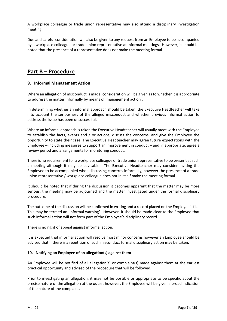A workplace colleague or trade union representative may also attend a disciplinary investigation meeting.

Due and careful consideration will also be given to any request from an Employee to be accompanied by a workplace colleague or trade union representative at informal meetings. However, it should be noted that the presence of a representative does not make the meeting formal.

#### <span id="page-6-0"></span>**Part B – Procedure**

#### <span id="page-6-1"></span>**9. Informal Management Action**

Where an allegation of misconduct is made, consideration will be given as to whether it is appropriate to address the matter informally by means of 'management action'.

In determining whether an informal approach should be taken, the Executive Headteacher will take into account the seriousness of the alleged misconduct and whether previous informal action to address the issue has been unsuccessful.

Where an informal approach is taken the Executive Headteacher will usually meet with the Employee to establish the facts, events and / or actions, discuss the concerns, and give the Employee the opportunity to state their case. The Executive Headteacher may agree future expectations with the Employee – including measures to support an improvement in conduct – and, if appropriate, agree a review period and arrangements for monitoring conduct.

There is no requirement for a workplace colleague or trade union representative to be present at such a meeting although it may be advisable. The Executive Headteacher may consider inviting the Employee to be accompanied when discussing concerns informally, however the presence of a trade union representative / workplace colleague does not in itself make the meeting formal.

It should be noted that if during the discussion it becomes apparent that the matter may be more serious, the meeting may be adjourned and the matter investigated under the formal disciplinary procedure.

The outcome of the discussion will be confirmed in writing and a record placed on the Employee's file. This may be termed an 'informal warning'. However, it should be made clear to the Employee that such informal action will not form part of the Employee's disciplinary record.

There is no right of appeal against informal action.

It is expected that informal action will resolve most minor concerns however an Employee should be advised that if there is a repetition of such misconduct formal disciplinary action may be taken.

#### <span id="page-6-2"></span>**10. Notifying an Employee of an allegation(s) against them**

An Employee will be notified of all allegation(s) or complaint(s) made against them at the earliest practical opportunity and advised of the procedure that will be followed.

Prior to investigating an allegation, it may not be possible or appropriate to be specific about the precise nature of the allegation at the outset however, the Employee will be given a broad indication of the nature of the complaint.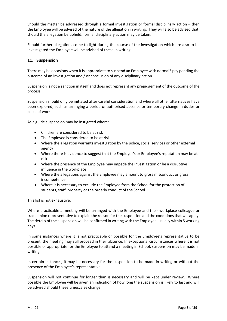Should the matter be addressed through a formal investigation or formal disciplinary action – then the Employee will be advised of the nature of the allegation in writing. They will also be advised that, should the allegation be upheld, formal disciplinary action may be taken.

Should further allegations come to light during the course of the investigation which are also to be investigated the Employee will be advised of these in writing.

#### <span id="page-7-0"></span>**11. Suspension**

There may be occasions when it is appropriate to suspend an Employee with normal**\*** pay pending the outcome of an investigation and / or conclusion of any disciplinary action.

Suspension is not a sanction in itself and does not represent any prejudgement of the outcome of the process.

Suspension should only be initiated after careful consideration and where all other alternatives have been explored, such as arranging a period of authorised absence or temporary change in duties or place of work.

As a guide suspension may be instigated where:

- Children are considered to be at risk
- The Employee is considered to be at risk
- Where the allegation warrants investigation by the police, social services or other external agency
- Where there is evidence to suggest that the Employer's or Employee's reputation may be at risk
- Where the presence of the Employee may impede the investigation or be a disruptive influence in the workplace
- Where the allegations against the Employee may amount to gross misconduct or gross incompetence
- Where it is necessary to exclude the Employee from the School for the protection of students, staff, property or the orderly conduct of the School

This list is not exhaustive.

Where practicable a meeting will be arranged with the Employee and their workplace colleague or trade union representative to explain the reason for the suspension and the conditions that will apply. The details of the suspension will be confirmed in writing with the Employee, usually within 5 working days.

In some instances where it is not practicable or possible for the Employee's representative to be present, the meeting may still proceed in their absence. In exceptional circumstances where it is not possible or appropriate for the Employee to attend a meeting in School, suspension may be made in writing.

In certain instances, it may be necessary for the suspension to be made in writing or without the presence of the Employee's representative.

Suspension will not continue for longer than is necessary and will be kept under review. Where possible the Employee will be given an indication of how long the suspension is likely to last and will be advised should these timescales change.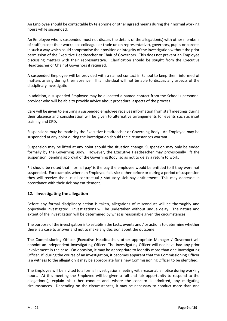An Employee should be contactable by telephone or other agreed means during their normal working hours while suspended.

An Employee who is suspended must not discuss the details of the allegation(s) with other members of staff (except their workplace colleague or trade union representative), governors, pupils or parents in such a way which could compromise their position or integrity of the investigation without the prior permission of the Executive Headteacher or Chair of Governors. This does not prevent an Employee discussing matters with their representative. Clarification should be sought from the Executive Headteacher or Chair of Governors if required.

A suspended Employee will be provided with a named contact in School to keep them informed of matters arising during their absence. This individual will not be able to discuss any aspects of the disciplinary investigation.

In addition, a suspended Employee may be allocated a named contact from the School's personnel provider who will be able to provide advice about procedural aspects of the process.

Care will be given to ensuring a suspended employee receives information from staff meetings during their absence and consideration will be given to alternative arrangements for events such as inset training and CPD.

Suspensions may be made by the Executive Headteacher or Governing Body. An Employee may be suspended at any point during the investigation should the circumstances warrant.

Suspension may be lifted at any point should the situation change. Suspension may only be ended formally by the Governing Body. However, the Executive Headteacher may provisionally lift the suspension, pending approval of the Governing Body, so as not to delay a return to work.

**\***It should be noted that 'normal pay' is the pay the employee would be entitled to if they were not suspended. For example, where an Employee falls sick either before or during a period of suspension they will receive their usual contractual / statutory sick pay entitlement. This may decrease in accordance with their sick pay entitlement.

#### <span id="page-8-0"></span>**12. Investigating the allegation**

Before any formal disciplinary action is taken, allegations of misconduct will be thoroughly and objectively investigated. Investigations will be undertaken without undue delay. The nature and extent of the investigation will be determined by what is reasonable given the circumstances.

The purpose of the investigation is to establish the facts, events and / or actions to determine whether there is a case to answer and not to make any decision about the outcome.

The Commissioning Officer (Executive Headteacher, other appropriate Manager / Governor) will appoint an independent Investigating Officer. The Investigating Officer will not have had any prior involvement in the case. On occasion, it may be appropriate to identify more than one Investigating Officer. If, during the course of an investigation, it becomes apparent that the Commissioning Officer is a witness to the allegation it may be appropriate for a new Commissioning Officer to be identified.

The Employee will be invited to a formal investigation meeting with reasonable notice during working hours. At this meeting the Employee will be given a full and fair opportunity to respond to the allegation(s), explain his  $/$  her conduct and, where the concern is admitted, any mitigating circumstances. Depending on the circumstances, it may be necessary to conduct more than one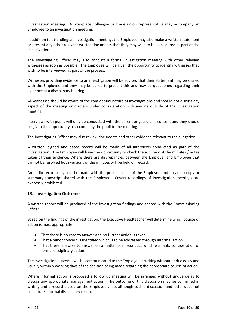investigation meeting. A workplace colleague or trade union representative may accompany an Employee to an investigation meeting.

In addition to attending an investigation meeting, the Employee may also make a written statement or present any other relevant written documents that they may wish to be considered as part of the investigation.

The Investigating Officer may also conduct a formal investigation meeting with other relevant witnesses as soon as possible. The Employee will be given the opportunity to identify witnesses they wish to be interviewed as part of the process.

Witnesses providing evidence to an investigation will be advised that their statement may be shared with the Employee and they may be called to present this and may be questioned regarding their evidence at a disciplinary hearing.

All witnesses should be aware of the confidential nature of investigations and should not discuss any aspect of the meeting or matters under consideration with anyone outside of the investigation meeting.

Interviews with pupils will only be conducted with the parent or guardian's consent and they should be given the opportunity to accompany the pupil to the meeting.

The Investigating Officer may also review documents and other evidence relevant to the allegation.

A written, signed and dated record will be made of all interviews conducted as part of the investigation. The Employee will have the opportunity to check the accuracy of the minutes / notes taken of their evidence. Where there are discrepancies between the Employer and Employee that cannot be resolved both versions of the minutes will be held on record.

An audio record may also be made with the prior consent of the Employee and an audio copy or summary transcript shared with the Employee. Covert recordings of investigation meetings are expressly prohibited.

#### <span id="page-9-0"></span>**13. Investigation Outcome**

A written report will be produced of the investigation findings and shared with the Commissioning Officer.

Based on the findings of the investigation, the Executive Headteacher will determine which course of action is most appropriate:

- That there is no case to answer and no further action is taken
- That a minor concern is identified which is to be addressed through informal action
- That there is a case to answer on a matter of misconduct which warrants consideration of formal disciplinary action.

The investigation outcome will be communicated to the Employee in writing without undue delay and usually within 5 working days of the decision being made regarding the appropriate course of action.

Where informal action is proposed a follow up meeting will be arranged without undue delay to discuss any appropriate management action. The outcome of this discussion may be confirmed in writing and a record placed on the Employee's file, although such a discussion and letter does not constitute a formal disciplinary record.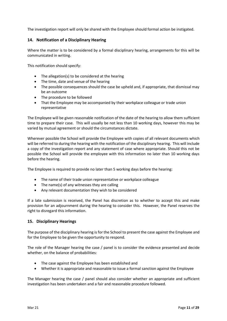The investigation report will only be shared with the Employee should formal action be instigated.

#### <span id="page-10-0"></span>**14. Notification of a Disciplinary Hearing**

Where the matter is to be considered by a formal disciplinary hearing, arrangements for this will be communicated in writing.

This notification should specify:

- The allegation(s) to be considered at the hearing
- The time, date and venue of the hearing
- The possible consequences should the case be upheld and, if appropriate, that dismissal may be an outcome
- The procedure to be followed
- That the Employee may be accompanied by their workplace colleague or trade union representative

The Employee will be given reasonable notification of the date of the hearing to allow them sufficient time to prepare their case. This will usually be not less than 10 working days, however this may be varied by mutual agreement or should the circumstances dictate.

Wherever possible the School will provide the Employee with copies of all relevant documents which will be referred to during the hearing with the notification of the disciplinary hearing. This will include a copy of the investigation report and any statement of case where appropriate. Should this not be possible the School will provide the employee with this information no later than 10 working days before the hearing.

The Employee is required to provide no later than 5 working days before the hearing:

- The name of their trade union representative or workplace colleague
- The name(s) of any witnesses they are calling
- Any relevant documentation they wish to be considered

If a late submission is received, the Panel has discretion as to whether to accept this and make provision for an adjournment during the hearing to consider this. However, the Panel reserves the right to disregard this information.

#### <span id="page-10-1"></span>**15. Disciplinary Hearings**

The purpose of the disciplinary hearing is for the School to present the case against the Employee and for the Employee to be given the opportunity to respond.

The role of the Manager hearing the case / panel is to consider the evidence presented and decide whether, on the balance of probabilities:

- The case against the Employee has been established and
- Whether it is appropriate and reasonable to issue a formal sanction against the Employee

The Manager hearing the case / panel should also consider whether an appropriate and sufficient investigation has been undertaken and a fair and reasonable procedure followed.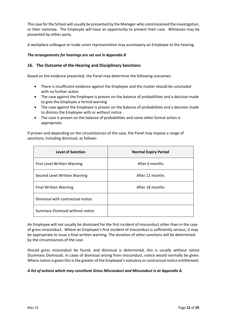The case for the School will usually be presented by the Manager who commissioned the investigation, or their nominee. The Employee will have an opportunity to present their case. Witnesses may be presented by either party.

A workplace colleague or trade union representative may accompany an Employee to the hearing.

#### *The arrangements for hearings are set out in Appendix B*

#### <span id="page-11-0"></span>**16. The Outcome of the Hearing and Disciplinary Sanctions**

Based on the evidence presented, the Panel may determine the following outcomes:

- There is insufficient evidence against the Employee and the matter should be concluded with no further action
- The case against the Employee is proven on the balance of probabilities and a decision made to give the Employee a formal warning
- The case against the Employee is proven on the balance of probabilities and a decision made to dismiss the Employee with or without notice
- The case is proven on the balance of probabilities and some other formal action is appropriate.

If proven and depending on the circumstances of the case, the Panel may impose a range of sanctions, including dismissal, as follows:

| <b>Level of Sanction</b>          | <b>Normal Expiry Period</b> |
|-----------------------------------|-----------------------------|
| First Level Written Warning       | After 6 months              |
| Second Level Written Warning      | After 12 months             |
| <b>Final Written Warning</b>      | After 18 months             |
| Dismissal with contractual notice |                             |
| Summary Dismissal without notice  |                             |

An Employee will not usually be dismissed for the first incident of misconduct other than in the case of gross misconduct. Where an Employee's first incident of misconduct is sufficiently serious, it may be appropriate to issue a final written warning. The duration of other sanctions will be determined by the circumstances of the case.

Should gross misconduct be found, and dismissal is determined, this is usually without notice (Summary Dismissal). In cases of dismissal arising from misconduct, notice would normally be given. Where notice is given this is the greater of the Employee's statutory or contractual notice entitlement.

#### *A list of actions which may constitute Gross Misconduct and Misconduct is at Appendix A.*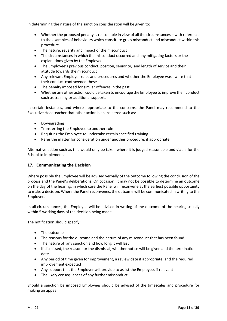In determining the nature of the sanction consideration will be given to:

- Whether the proposed penalty is reasonable in view of all the circumstances with reference to the examples of behaviours which constitute gross misconduct and misconduct within this procedure
- The nature, severity and impact of the misconduct
- The circumstances in which the misconduct occurred and any mitigating factors or the explanations given by the Employee
- The Employee's previous conduct, position, seniority, and length of service and their attitude towards the misconduct
- Any relevant Employer rules and procedures and whether the Employee was aware that their conduct contravened these
- The penalty imposed for similar offences in the past
- Whether any other action could be taken to encourage the Employee to improve their conduct such as training or additional support.

In certain instances, and where appropriate to the concerns, the Panel may recommend to the Executive Headteacher that other action be considered such as:

- **•** Downgrading
- Transferring the Employee to another role
- Requiring the Employee to undertake certain specified training
- Refer the matter for consideration under another procedure, if appropriate.

Alternative action such as this would only be taken where it is judged reasonable and viable for the School to implement.

#### <span id="page-12-0"></span>**17. Communicating the Decision**

Where possible the Employee will be advised verbally of the outcome following the conclusion of the process and the Panel's deliberations. On occasion, it may not be possible to determine an outcome on the day of the hearing, in which case the Panel will reconvene at the earliest possible opportunity to make a decision. Where the Panel reconvenes, the outcome will be communicated in writing to the Employee.

In all circumstances, the Employee will be advised in writing of the outcome of the hearing usually within 5 working days of the decision being made.

The notification should specify:

- The outcome
- The reasons for the outcome and the nature of any misconduct that has been found
- The nature of any sanction and how long it will last
- If dismissed, the reason for the dismissal, whether notice will be given and the termination date
- Any period of time given for improvement, a review date if appropriate, and the required improvement expected
- Any support that the Employer will provide to assist the Employee, if relevant
- The likely consequences of any further misconduct.

Should a sanction be imposed Employees should be advised of the timescales and procedure for making an appeal.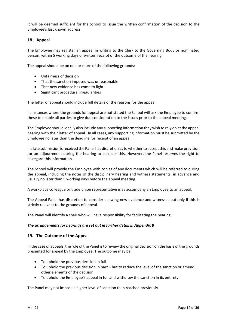It will be deemed sufficient for the School to issue the written confirmation of the decision to the Employee's last known address.

#### <span id="page-13-0"></span>**18. Appeal**

The Employee may register an appeal in writing to the Clerk to the Governing Body or nominated person, within 5 working days of written receipt of the outcome of the hearing.

The appeal should be on one or more of the following grounds:

- Unfairness of decision
- That the sanction imposed was unreasonable
- That new evidence has come to light
- Significant procedural irregularities

The letter of appeal should include full details of the reasons for the appeal.

In instances where the grounds for appeal are not stated the School will ask the Employee to confirm these to enable all parties to give due consideration to the issues prior to the appeal meeting.

The Employee should ideally also include any supporting information they wish to rely on at the appeal hearing with their letter of appeal. In all cases, any supporting information must be submitted by the Employee no later than the deadline for receipt of an appeal.

If a late submission is received the Panel has discretion as to whether to accept this and make provision for an adjournment during the hearing to consider this. However, the Panel reserves the right to disregard this information.

The School will provide the Employee with copies of any documents which will be referred to during the appeal, including the notes of the disciplinary hearing and witness statements, in advance and usually no later than 5 working days before the appeal meeting.

A workplace colleague or trade union representative may accompany an Employee to an appeal.

The Appeal Panel has discretion to consider allowing new evidence and witnesses but only if this is strictly relevant to the grounds of appeal.

The Panel will identify a chair who will have responsibility for facilitating the hearing.

#### *The arrangements for hearings are set out in further detail in Appendix B*

#### <span id="page-13-1"></span>**19. The Outcome of the Appeal**

In the case of appeals, the role of the Panel is to review the original decision on the basis of the grounds presented for appeal by the Employee. The outcome may be:

- To uphold the previous decision in full
- To uphold the previous decision in part but to reduce the level of the sanction or amend other elements of the decision
- To uphold the Employee's appeal in full and withdraw the sanction in its entirety.

The Panel may not impose a higher level of sanction than reached previously.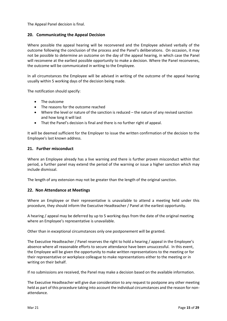The Appeal Panel decision is final.

#### <span id="page-14-0"></span>**20. Communicating the Appeal Decision**

Where possible the appeal hearing will be reconvened and the Employee advised verbally of the outcome following the conclusion of the process and the Panel's deliberations. On occasion, it may not be possible to determine an outcome on the day of the appeal hearing, in which case the Panel will reconvene at the earliest possible opportunity to make a decision. Where the Panel reconvenes, the outcome will be communicated in writing to the Employee.

In all circumstances the Employee will be advised in writing of the outcome of the appeal hearing usually within 5 working days of the decision being made.

The notification should specify:

- The outcome
- The reasons for the outcome reached
- Where the level or nature of the sanction is reduced the nature of any revised sanction and how long it will last
- That the Panel's decision is final and there is no further right of appeal.

It will be deemed sufficient for the Employer to issue the written confirmation of the decision to the Employee's last known address.

#### <span id="page-14-1"></span>**21. Further misconduct**

Where an Employee already has a live warning and there is further proven misconduct within that period, a further panel may extend the period of the warning or issue a higher sanction which may include dismissal.

The length of any extension may not be greater than the length of the original sanction.

#### <span id="page-14-2"></span>**22. Non Attendance at Meetings**

Where an Employee or their representative is unavailable to attend a meeting held under this procedure, they should inform the Executive Headteacher / Panel at the earliest opportunity.

A hearing / appeal may be deferred by up to 5 working days from the date of the original meeting where an Employee's representative is unavailable.

Other than in exceptional circumstances only one postponement will be granted.

The Executive Headteacher / Panel reserves the right to hold a hearing / appeal in the Employee's absence where all reasonable efforts to secure attendance have been unsuccessful. In this event, the Employee will be given the opportunity to make written representations to the meeting or for their representative or workplace colleague to make representations either to the meeting or in writing on their behalf.

If no submissions are received, the Panel may make a decision based on the available information.

The Executive Headteacher will give due consideration to any request to postpone any other meeting held as part of this procedure taking into account the individual circumstances and the reason for nonattendance.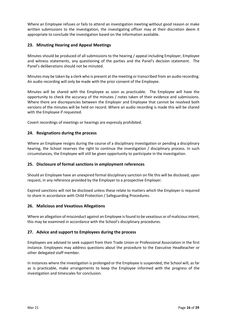Where an Employee refuses or fails to attend an investigation meeting without good reason or make written submissions to the investigation, the investigating officer may at their discretion deem it appropriate to conclude the investigation based on the information available.

#### <span id="page-15-0"></span>**23. Minuting Hearing and Appeal Meetings**

Minutes should be produced of all submissions to the hearing / appeal including Employer, Employee and witness statements, any questioning of the parties and the Panel's decision statement. The Panel's deliberations should not be minuted.

Minutes may be taken by a clerk who is present at the meeting or transcribed from an audio recording. An audio recording will only be made with the prior consent of the Employee.

Minutes will be shared with the Employee as soon as practicable. The Employee will have the opportunity to check the accuracy of the minutes / notes taken of their evidence and submissions. Where there are discrepancies between the Employer and Employee that cannot be resolved both versions of the minutes will be held on record. Where an audio recording is made this will be shared with the Employee if requested.

Covert recordings of meetings or hearings are expressly prohibited.

#### <span id="page-15-1"></span>**24. Resignations during the process**

Where an Employee resigns during the course of a disciplinary investigation or pending a disciplinary hearing, the School reserves the right to continue the investigation / disciplinary process. In such circumstances, the Employee will still be given opportunity to participate in the investigation.

#### <span id="page-15-2"></span>**25. Disclosure of formal sanctions in employment references**

Should an Employee have an unexpired formal disciplinary sanction on file this will be disclosed, upon request, in any reference provided by the Employer to a prospective Employer.

Expired sanctions will not be disclosed unless these relate to matters which the Employer is required to share in accordance with Child Protection / Safeguarding Procedures.

#### <span id="page-15-3"></span>**26. Malicious and Vexatious Allegations**

Where an allegation of misconduct against an Employee is found to be vexatious or of malicious intent, this may be examined in accordance with the School's disciplinary procedures.

#### <span id="page-15-4"></span>**27. Advice and support to Employees during the process**

Employees are advised to seek support from their Trade Union or Professional Association in the first instance. Employees may address questions about the procedure to the Executive Headteacher or other delegated staff member.

<span id="page-15-5"></span>In instances where the investigation is prolonged or the Employee is suspended, the School will, as far as is practicable, make arrangements to keep the Employee informed with the progress of the investigation and timescales for conclusion.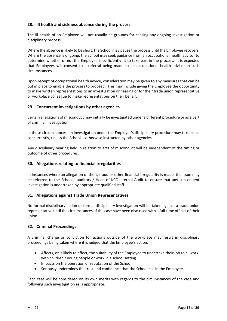#### **28. Ill health and sickness absence during the process**

The ill health of an Employee will not usually be grounds for ceasing any ongoing investigation or disciplinary process.

Where the absence is likely to be short, the School may pause the process until the Employee recovers. Where the absence is ongoing, the School may seek guidance from an occupational health advisor to determine whether or not the Employee is sufficiently fit to take part in the process. It is expected that Employees will consent to a referral being made to an occupational health advisor in such circumstances.

Upon receipt of occupational health advice, consideration may be given to any measures that can be put in place to enable the process to proceed. This may include giving the Employee the opportunity to make written representations to an investigation or hearing or for their trade union representative or workplace colleague to make representations on their behalf.

#### <span id="page-16-0"></span>**29. Concurrent investigations by other agencies**

Certain allegations of misconduct may initially be investigated under a different procedure or as a part of criminal investigation.

In these circumstances, an investigation under the Employer's disciplinary procedure may take place concurrently, unless the School is otherwise instructed by other agencies.

Any disciplinary hearing held in relation to acts of misconduct will be independent of the timing or outcome of other procedures.

#### <span id="page-16-1"></span>**30. Allegations relating to financial irregularities**

In instances where an allegation of theft, fraud or other financial irregularity is made, the issue may be referred to the School's auditors / Head of KCC Internal Audit to ensure that any subsequent investigation is undertaken by appropriate qualified staff.

#### <span id="page-16-2"></span>**31. Allegations against Trade Union Representatives**

No formal disciplinary action or formal disciplinary investigation will be taken against a trade union representative until the circumstances of the case have been discussed with a full-time official of their union.

#### <span id="page-16-3"></span>**32. Criminal Proceedings**

A criminal charge or conviction for actions outside of the workplace may result in disciplinary proceedings being taken where it is judged that the Employee's action:

- Affects, or is likely to affect, the suitability of the Employee to undertake their job role, work with children / young people or work in a school setting
- Impacts on the operation or reputation of the School
- Seriously undermines the trust and confidence that the School has in the Employee.

Each case will be considered on its own merits with regards to the circumstances of the case and following such investigation as is appropriate.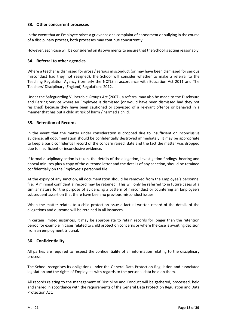#### **33. Other concurrent processes**

In the event that an Employee raises a grievance or a complaint of harassment or bullying in the course of a disciplinary process, both processes may continue concurrently.

However, each case will be considered on its own merits to ensure that the School is acting reasonably.

#### <span id="page-17-0"></span>**34. Referral to other agencies**

Where a teacher is dismissed for gross / serious misconduct (or may have been dismissed for serious misconduct had they not resigned), the School will consider whether to make a referral to the Teaching Regulation Agency (formerly the NCTL) in accordance with Education Act 2011 and The Teachers' Disciplinary (England) Regulations 2012.

Under the Safeguarding Vulnerable Groups Act (2007), a referral may also be made to the Disclosure and Barring Service where an Employee is dismissed (or would have been dismissed had they not resigned) because they have been cautioned or convicted of a relevant offence or behaved in a manner that has put a child at risk of harm / harmed a child.

#### <span id="page-17-1"></span>**35. Retention of Records**

In the event that the matter under consideration is dropped due to insufficient or inconclusive evidence, all documentation should be confidentially destroyed immediately. It may be appropriate to keep a basic confidential record of the concern raised, date and the fact the matter was dropped due to insufficient or inconclusive evidence.

If formal disciplinary action is taken, the details of the allegation, investigation findings, hearing and appeal minutes plus a copy of the outcome letter and the details of any sanction, should be retained confidentially on the Employee's personnel file.

At the expiry of any sanction, all documentation should be removed from the Employee's personnel file. A minimal confidential record may be retained. This will only be referred to in future cases of a similar nature for the purpose of evidencing a pattern of misconduct or countering an Employee's subsequent assertion that there have been no previous misconduct issues.

When the matter relates to a child protection issue a factual written record of the details of the allegations and outcome will be retained in all instances.

In certain limited instances, it may be appropriate to retain records for longer than the retention period for example in cases related to child protection concerns or where the case is awaiting decision from an employment tribunal.

#### <span id="page-17-2"></span>**36. Confidentiality**

All parties are required to respect the confidentiality of all information relating to the disciplinary process.

The School recognises its obligations under the General Data Protection Regulation and associated legislation and the rights of Employees with regards to the personal data held on them.

All records relating to the management of Discipline and Conduct will be gathered, processed, held and shared in accordance with the requirements of the General Data Protection Regulation and Data Protection Act.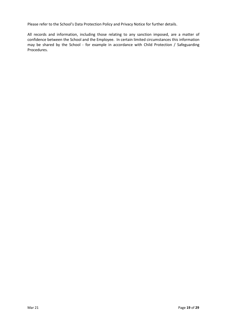Please refer to the School's Data Protection Policy and Privacy Notice for further details.

<span id="page-18-0"></span>All records and information, including those relating to any sanction imposed, are a matter of confidence between the School and the Employee. In certain limited circumstances this information may be shared by the School - for example in accordance with Child Protection / Safeguarding Procedures.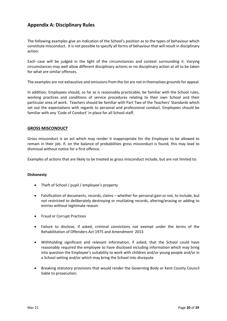#### **Appendix A: Disciplinary Rules**

The following examples give an indication of the School's position as to the types of behaviour which constitute misconduct. It is not possible to specify all forms of behaviour that will result in disciplinary action.

Each case will be judged in the light of the circumstances and context surrounding it. Varying circumstances may well allow different disciplinary actions or no disciplinary action at all to be taken for what are similar offences.

The examples are not exhaustive and omissions from the list are not in themselves grounds for appeal.

In addition, Employees should, so far as is reasonably practicable, be familiar with the School rules, working practices and conditions of service procedures relating to their own School and their particular area of work. Teachers should be familiar with Part Two of the Teachers' Standards which set out the expectations with regards to personal and professional conduct. Employees should be familiar with any 'Code of Conduct' in place for all School staff.

#### **GROSS MISCONDUCT**

Gross misconduct is an act which may render it inappropriate for the Employee to be allowed to remain in their job. If, on the balance of probabilities gross misconduct is found, this may lead to dismissal without notice for a first offence.

Examples of actions that are likely to be treated as gross misconduct include, but are not limited to:

#### **Dishonesty**

- Theft of School / pupil / employee's property
- Falsification of documents, records, claims whether for personal gain or not, to include, but not restricted to deliberately destroying or mutilating records, altering/erasing or adding to entries without legitimate reason
- Fraud or Corrupt Practices
- Failure to disclose, if asked, criminal convictions not exempt under the terms of the Rehabilitation of Offenders Act 1975 and Amendment 2013
- Withholding significant and relevant information, if asked, that the School could have reasonably required the employee to have disclosed including information which may bring into question the Employee's suitability to work with children and/or young people and/or in a School setting and/or which may bring the School into disrepute
- Breaking statutory provisions that would render the Governing Body or Kent County Council liable to prosecution.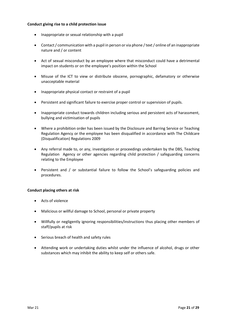#### **Conduct giving rise to a child protection issue**

- Inappropriate or sexual relationship with a pupil
- Contact / communication with a pupil in person or via phone / text / online of an inappropriate nature and / or content
- Act of sexual misconduct by an employee where that misconduct could have a detrimental impact on students or on the employee's position within the School
- Misuse of the ICT to view or distribute obscene, pornographic, defamatory or otherwise unacceptable material
- Inappropriate physical contact or restraint of a pupil
- Persistent and significant failure to exercise proper control or supervision of pupils.
- Inappropriate conduct towards children including serious and persistent acts of harassment, bullying and victimisation of pupils
- Where a prohibition order has been issued by the Disclosure and Barring Service or Teaching Regulation Agency or the employee has been disqualified in accordance with The Childcare (Disqualification) Regulations 2009
- Any referral made to, or any, investigation or proceedings undertaken by the DBS, Teaching Regulation Agency or other agencies regarding child protection / safeguarding concerns relating to the Employee
- Persistent and / or substantial failure to follow the School's safeguarding policies and procedures.

#### **Conduct placing others at risk**

- Acts of violence
- Malicious or willful damage to School, personal or private property
- Willfully or negligently ignoring responsibilities/instructions thus placing other members of staff/pupils at risk
- Serious breach of health and safety rules
- Attending work or undertaking duties whilst under the influence of alcohol, drugs or other substances which may inhibit the ability to keep self or others safe.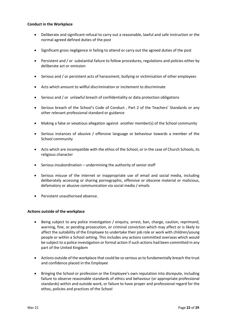#### **Conduct in the Workplace**

- Deliberate and significant refusal to carry out a reasonable, lawful and safe instruction or the normal agreed defined duties of the post
- Significant gross negligence in failing to attend or carry out the agreed duties of the post
- Persistent and / or substantial failure to follow procedures, regulations and policies either by deliberate act or omission
- Serious and / or persistent acts of harassment, bullying or victimisation of other employees
- Acts which amount to willful discrimination or incitement to discriminate
- Serious and / or unlawful breach of confidentiality or data protection obligations
- Serious breach of the School's Code of Conduct, Part 2 of the Teachers' Standards or any other relevant professional standard or guidance
- Making a false or vexatious allegation against another member(s) of the School community
- Serious instances of abusive / offensive language or behaviour towards a member of the School community
- Acts which are incompatible with the ethos of the School, or in the case of Church Schools, its religious character
- $\bullet$  Serious insubordination undermining the authority of senior staff
- Serious misuse of the internet or inappropriate use of email and social media, including deliberately accessing or sharing pornographic, offensive or obscene material or malicious, defamatory or abusive communication via social media / emails
- Persistent unauthorised absence.

#### **Actions outside of the workplace**

- Being subject to any police investigation / enquiry, arrest, ban, charge, caution, reprimand, warning, fine, or pending prosecution, or criminal conviction which may affect or is likely to affect the suitability of the Employee to undertake their job role or work with children/young people or within a School setting. This includes any actions committed overseas which would be subject to a police investigation or formal action if such actions had been committed in any part of the United Kingdom
- Actions outside of the workplace that could be so serious as to fundamentally breach the trust and confidence placed in the Employee
- Bringing the School or profession or the Employee's own reputation into disrepute, including failure to observe reasonable standards of ethics and behaviour (or appropriate professional standards) within and outside work, or failure to have proper and professional regard for the ethos, policies and practices of the School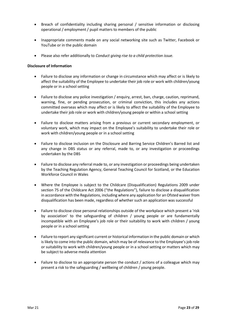- Breach of confidentiality including sharing personal / sensitive information or disclosing operational / employment / pupil matters to members of the public
- Inappropriate comments made on any social networking site such as Twitter, Facebook or YouTube or in the public domain
- Please also refer additionally to *Conduct giving rise to a child protection issue.*

#### **Disclosure of Information**

- Failure to disclose any information or change in circumstance which may affect or is likely to affect the suitability of the Employee to undertake their job role or work with children/young people or in a school setting
- Failure to disclose any police investigation / enquiry, arrest, ban, charge, caution, reprimand, warning, fine, or pending prosecution, or criminal conviction, this includes any actions committed overseas which may affect or is likely to affect the suitability of the Employee to undertake their job role or work with children/young people or within a school setting
- Failure to disclose matters arising from a previous or current secondary employment, or voluntary work, which may impact on the Employee's suitability to undertake their role or work with children/young people or in a school setting
- Failure to disclose inclusion on the Disclosure and Barring Service Children's Barred list and any change in DBS status or any referral, made to, or any investigation or proceedings undertaken by the DBS
- Failure to disclose any referral made to, or any investigation or proceedings being undertaken by the Teaching Regulation Agency, General Teaching Council for Scotland, or the Education Workforce Council in Wales
- Where the Employee is subject to the Childcare (Disqualification) Regulations 2009 under section 75 of the Childcare Act 2006 ("the Regulations"), failure to disclose a disqualification in accordance with the Regulations, including where any application for an Ofsted waiver from disqualification has been made, regardless of whether such an application was successful
- Failure to disclose close personal relationships outside of the workplace which present a 'risk by association' to the safeguarding of children / young people or are fundamentally incompatible with an Employee's job role or their suitability to work with children / young people or in a school setting
- Failure to report any significant current or historical information in the public domain or which is likely to come into the public domain, which may be of relevance to the Employee's job role or suitability to work with children/young people or in a school setting or matters which may be subject to adverse media attention
- Failure to disclose to an appropriate person the conduct / actions of a colleague which may present a risk to the safeguarding / wellbeing of children / young people.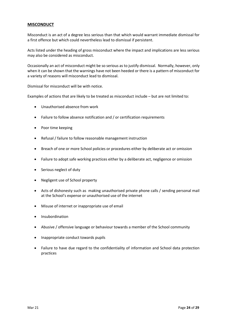#### **MISCONDUCT**

Misconduct is an act of a degree less serious than that which would warrant immediate dismissal for a first offence but which could nevertheless lead to dismissal if persistent.

Acts listed under the heading of gross misconduct where the impact and implications are less serious may also be considered as misconduct.

Occasionally an act of misconduct might be so serious as to justify dismissal. Normally, however, only when it can be shown that the warnings have not been heeded or there is a pattern of misconduct for a variety of reasons will misconduct lead to dismissal.

Dismissal for misconduct will be with notice.

Examples of actions that are likely to be treated as misconduct include – but are not limited to:

- Unauthorised absence from work
- Failure to follow absence notification and / or certification requirements
- Poor time keeping
- Refusal / failure to follow reasonable management instruction
- Breach of one or more School policies or procedures either by deliberate act or omission
- Failure to adopt safe working practices either by a deliberate act, negligence or omission
- Serious neglect of duty
- Negligent use of School property
- Acts of dishonesty such as making unauthorised private phone calls / sending personal mail at the School's expense or unauthorised use of the internet
- Misuse of internet or inappropriate use of email
- **•** Insubordination
- Abusive / offensive language or behaviour towards a member of the School community
- Inappropriate conduct towards pupils
- Failure to have due regard to the confidentiality of information and School data protection practices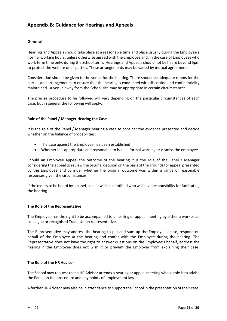#### <span id="page-24-0"></span>**Appendix B: Guidance for Hearings and Appeals**

#### **General**

Hearings and Appeals should take place at a reasonable time and place usually during the Employee's normal working hours, unless otherwise agreed with the Employee and, in the case of Employees who work term time only, during the School term. Hearings and Appeals should not be heard beyond 5pm to protect the welfare of all parties. These arrangements may be varied by mutual agreement.

Consideration should be given to the venue for the hearing. There should be adequate rooms for the parties and arrangements to ensure that the hearing is conducted with discretion and confidentiality maintained. A venue away from the School site may be appropriate in certain circumstances.

The precise procedure to be followed will vary depending on the particular circumstances of each case, but in general the following will apply:

#### **Role of the Panel / Manager Hearing the Case**

It is the role of the Panel / Manager hearing a case to consider the evidence presented and decide whether on the balance of probabilities:

- The case against the Employee has been established
- Whether it is appropriate and reasonable to issue a formal warning or dismiss the employee

Should an Employee appeal the outcome of the hearing it is the role of the Panel / Manager considering the appeal to review the original decision on the basis of the grounds for appeal presented by the Employee and consider whether the original outcome was within a range of reasonable responses given the circumstances.

If the case is to be heard by a panel, a chair will be identified who will have responsibility for facilitating the hearing.

#### **The Role of the Representative**

The Employee has the right to be accompanied to a hearing or appeal meeting by either a workplace colleague or recognised Trade Union representative.

The Representative may address the hearing to put and sum up the Employee's case, respond on behalf of the Employee at the hearing and confer with the Employee during the hearing. The Representative does not have the right to answer questions on the Employee's behalf, address the hearing if the Employee does not wish it or prevent the Employer from explaining their case.

#### **The Role of the HR Advisor**

The School may request that a HR Advisor attends a hearing or appeal meeting whose role is to advise the Panel on the procedure and any points of employment law.

A further HR Advisor may also be in attendance to support the School in the presentation of their case.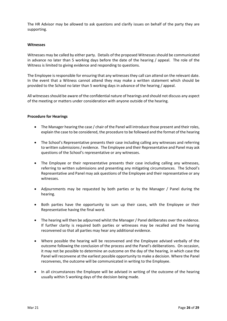The HR Advisor may be allowed to ask questions and clarify issues on behalf of the party they are supporting.

#### **Witnesses**

Witnesses may be called by either party. Details of the proposed Witnesses should be communicated in advance no later than 5 working days before the date of the hearing / appeal. The role of the Witness is limited to giving evidence and responding to questions.

The Employee is responsible for ensuring that any witnesses they call can attend on the relevant date. In the event that a Witness cannot attend they may make a written statement which should be provided to the School no later than 5 working days in advance of the hearing / appeal.

All witnesses should be aware of the confidential nature of hearings and should not discuss any aspect of the meeting or matters under consideration with anyone outside of the hearing.

#### **Procedure for Hearings**

- The Manager hearing the case / chair of the Panel will introduce those present and their roles, explain the case to be considered, the procedure to be followed and the format of the hearing
- The School's Representative presents their case including calling any witnesses and referring to written submissions / evidence. The Employee and their Representative and Panel may ask questions of the School's representative or any witnesses.
- The Employee or their representative presents their case including calling any witnesses, referring to written submissions and presenting any mitigating circumstances. The School's Representative and Panel may ask questions of the Employee and their representative or any witnesses.
- Adjournments may be requested by both parties or by the Manager / Panel during the hearing.
- Both parties have the opportunity to sum up their cases, with the Employee or their Representative having the final word.
- The hearing will then be adjourned whilst the Manager / Panel deliberates over the evidence. If further clarity is required both parties or witnesses may be recalled and the hearing reconvened so that all parties may hear any additional evidence.
- Where possible the hearing will be reconvened and the Employee advised verbally of the outcome following the conclusion of the process and the Panel's deliberations. On occasion, it may not be possible to determine an outcome on the day of the hearing, in which case the Panel will reconvene at the earliest possible opportunity to make a decision. Where the Panel reconvenes, the outcome will be communicated in writing to the Employee.
- In all circumstances the Employee will be advised in writing of the outcome of the hearing usually within 5 working days of the decision being made.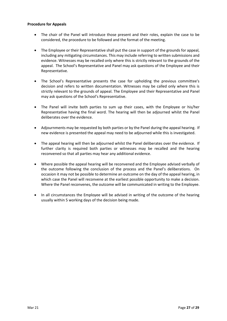#### **Procedure for Appeals**

- The chair of the Panel will introduce those present and their roles, explain the case to be considered, the procedure to be followed and the format of the meeting.
- The Employee or their Representative shall put the case in support of the grounds for appeal, including any mitigating circumstances. This may include referring to written submissions and evidence. Witnesses may be recalled only where this is strictly relevant to the grounds of the appeal. The School's Representative and Panel may ask questions of the Employee and their Representative.
- The School's Representative presents the case for upholding the previous committee's decision and refers to written documentation. Witnesses may be called only where this is strictly relevant to the grounds of appeal. The Employee and their Representative and Panel may ask questions of the School's Representative.
- The Panel will invite both parties to sum up their cases, with the Employee or his/her Representative having the final word. The hearing will then be adjourned whilst the Panel deliberates over the evidence.
- Adjournments may be requested by both parties or by the Panel during the appeal hearing. If new evidence is presented the appeal may need to be adjourned while this is investigated.
- The appeal hearing will then be adjourned whilst the Panel deliberates over the evidence. If further clarity is required both parties or witnesses may be recalled and the hearing reconvened so that all parties may hear any additional evidence.
- Where possible the appeal hearing will be reconvened and the Employee advised verbally of the outcome following the conclusion of the process and the Panel's deliberations. On occasion it may not be possible to determine an outcome on the day of the appeal hearing, in which case the Panel will reconvene at the earliest possible opportunity to make a decision. Where the Panel reconvenes, the outcome will be communicated in writing to the Employee.
- <span id="page-26-0"></span>• In all circumstances the Employee will be advised in writing of the outcome of the hearing usually within 5 working days of the decision being made.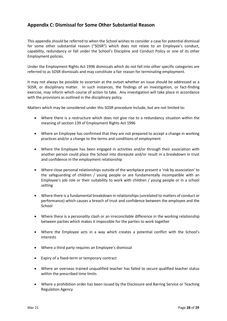#### **Appendix C: Dismissal for Some Other Substantial Reason**

This appendix should be referred to when the School wishes to consider a case for potential dismissal for some other substantial reason ("SOSR") which does not relate to an Employee's conduct, capability, redundancy or fall under the School's Discipline and Conduct Policy or one of its other Employment policies.

Under the Employment Rights Act 1996 dismissals which do not fall into other specific categories are referred to as SOSR dismissals and may constitute a fair reason for terminating employment.

It may not always be possible to ascertain at the outset whether an issue should be addressed as a SOSR, or disciplinary matter. In such instances, the findings of an investigation, or fact-finding exercise, may inform which course of action to take. Any investigation will take place in accordance with the provisions as outlined in the disciplinary policy.

Matters which may be considered under this SOSR procedure include, but are not limited to:

- Where there is a restructure which does not give rise to a redundancy situation within the meaning of section 139 of Employment Rights Act 1996
- Where an Employee has confirmed that they are not prepared to accept a change in working practices and/or a change to the terms and conditions of employment
- Where the Employee has been engaged in activities and/or through their association with another person could place the School into disrepute and/or result in a breakdown in trust and confidence in the employment relationship
- Where close personal relationships outside of the workplace present a 'risk by association' to the safeguarding of children / young people or are fundamentally incompatible with an Employee's job role or their suitability to work with children / young people or in a school setting
- Where there is a fundamental breakdown in relationships (unrelated to matters of conduct or performance) which causes a breach of trust and confidence between the employee and the School
- Where there is a personality clash or an irreconcilable difference in the working relationship between parties which makes it impossible for the parties to work together
- Where the Employee acts in a way which creates a potential conflict with the School's interests
- Where a third party requires an Employee's dismissal
- Expiry of a fixed-term or temporary contract
- Where an overseas trained unqualified teacher has failed to secure qualified teacher status within the prescribed time limits
- Where a prohibition order has been issued by the Disclosure and Barring Service or Teaching Regulation Agency